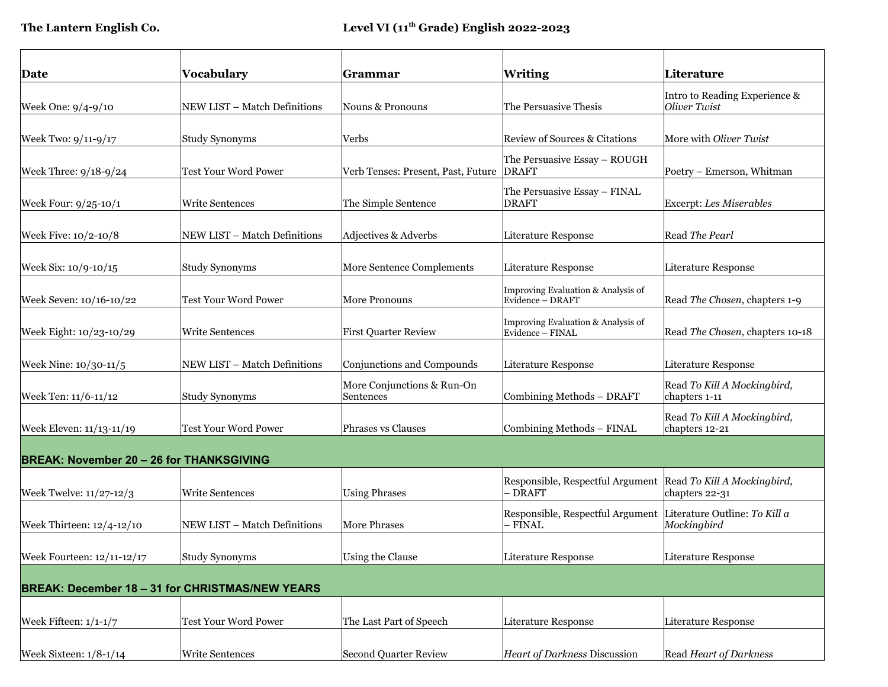| Date                                                   | Vocabulary                   | Grammar                                  | <b>Writing</b>                                                            | Literature                                    |  |  |  |
|--------------------------------------------------------|------------------------------|------------------------------------------|---------------------------------------------------------------------------|-----------------------------------------------|--|--|--|
| Week One: 9/4-9/10                                     | NEW LIST - Match Definitions | Nouns & Pronouns                         | The Persuasive Thesis                                                     | Intro to Reading Experience &<br>Oliver Twist |  |  |  |
| Week Two: 9/11-9/17                                    | Study Synonyms               | Verbs                                    | Review of Sources & Citations                                             | More with Oliver Twist                        |  |  |  |
| Week Three: 9/18-9/24                                  | <b>Test Your Word Power</b>  | Verb Tenses: Present, Past, Future DRAFT | The Persuasive Essay - ROUGH                                              | Poetry – Emerson, Whitman                     |  |  |  |
| Week Four: 9/25-10/1                                   | <b>Write Sentences</b>       | The Simple Sentence                      | The Persuasive Essay - FINAL<br><b>DRAFT</b>                              | Excerpt: Les Miserables                       |  |  |  |
| Week Five: 10/2-10/8                                   | NEW LIST - Match Definitions | Adjectives & Adverbs                     | Literature Response                                                       | Read The Pearl                                |  |  |  |
| Week Six: 10/9-10/15                                   | <b>Study Synonyms</b>        | More Sentence Complements                | Literature Response                                                       | Literature Response                           |  |  |  |
| Week Seven: 10/16-10/22                                | Test Your Word Power         | More Pronouns                            | Improving Evaluation & Analysis of<br>Evidence - DRAFT                    | Read The Chosen, chapters 1-9                 |  |  |  |
| Week Eight: 10/23-10/29                                | Write Sentences              | <b>First Quarter Review</b>              | Improving Evaluation & Analysis of<br>Evidence - FINAL                    | Read The Chosen, chapters 10-18               |  |  |  |
| Week Nine: 10/30-11/5                                  | NEW LIST - Match Definitions | Conjunctions and Compounds               | Literature Response                                                       | Literature Response                           |  |  |  |
| Week Ten: 11/6-11/12                                   | Study Synonyms               | More Conjunctions & Run-On<br>Sentences  | Combining Methods - DRAFT                                                 | Read To Kill A Mockingbird,<br>chapters 1-11  |  |  |  |
| Week Eleven: 11/13-11/19                               | <b>Test Your Word Power</b>  | <b>Phrases vs Clauses</b>                | Combining Methods - FINAL                                                 | Read To Kill A Mockingbird,<br>chapters 12-21 |  |  |  |
| <b>BREAK: November 20 - 26 for THANKSGIVING</b>        |                              |                                          |                                                                           |                                               |  |  |  |
| Week Twelve: 11/27-12/3                                | Write Sentences              | <b>Using Phrases</b>                     | Responsible, Respectful Argument Read To Kill A Mockingbird,<br>- DRAFT   | chapters 22-31                                |  |  |  |
| Week Thirteen: 12/4-12/10                              | NEW LIST - Match Definitions | <b>More Phrases</b>                      | Responsible, Respectful Argument Literature Outline: To Kill a<br>- FINAL | Mockingbird                                   |  |  |  |
| Week Fourteen: 12/11-12/17                             | Study Synonyms               | Using the Clause                         | Literature Response                                                       | Literature Response                           |  |  |  |
| <b>BREAK: December 18 - 31 for CHRISTMAS/NEW YEARS</b> |                              |                                          |                                                                           |                                               |  |  |  |
| Week Fifteen: $1/1-1/7$                                | Test Your Word Power         | The Last Part of Speech                  | Literature Response                                                       | Literature Response                           |  |  |  |
| Week Sixteen: $1/8-1/14$                               | Write Sentences              | Second Quarter Review                    | Heart of Darkness Discussion                                              | Read Heart of Darkness                        |  |  |  |